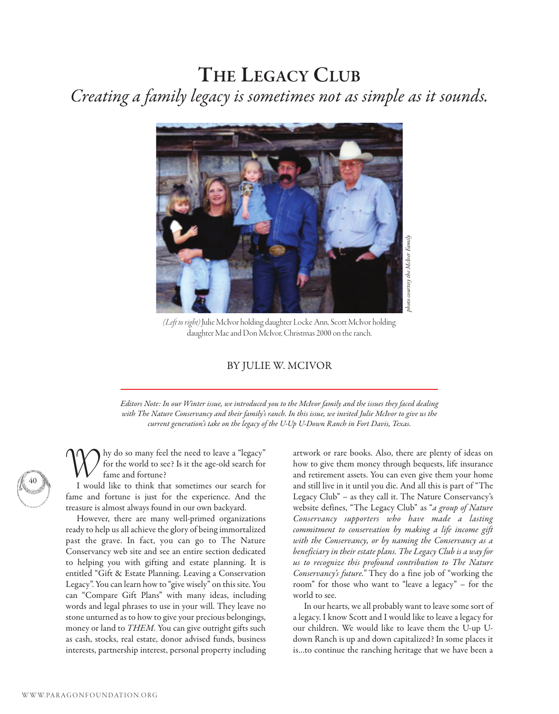## **THE LEGACY CLUB** Creating a family legacy is sometimes not as simple as it sounds.



(Left to right) Julie McIvor holding daughter Locke Ann, Scott McIvor holding daughter Mae and Don McIvor, Christmas 2000 on the ranch.

## BY JULIE W. MCIVOR

Editors Note: In our Winter issue, we introduced you to the McIvor family and the issues they faced dealing with The Nature Conservancy and their family's ranch. In this issue, we invited Julie McIvor to give us the current generation's take on the legacy of the U-Up U-Down Ranch in Fort Davis, Texas.

hy do so many feel the need to leave a "legacy" for the world to see? Is it the age-old search for fame and fortune?

I would like to think that sometimes our search for fame and fortune is just for the experience. And the treasure is almost always found in our own backyard.

However, there are many well-primed organizations ready to help us all achieve the glory of being immortalized past the grave. In fact, you can go to The Nature Conservancy web site and see an entire section dedicated to helping you with gifting and estate planning. It is entitled "Gift & Estate Planning. Leaving a Conservation Legacy". You can learn how to "give wisely" on this site. You can "Compare Gift Plans" with many ideas, including words and legal phrases to use in your will. They leave no stone unturned as to how to give your precious belongings, money or land to THEM. You can give outright gifts such as cash, stocks, real estate, donor advised funds, business interests, partnership interest, personal property including

artwork or rare books. Also, there are plenty of ideas on how to give them money through bequests, life insurance and retirement assets. You can even give them your home and still live in it until you die. And all this is part of "The Legacy Club" – as they call it. The Nature Conservancy's website defines, "The Legacy Club" as "a group of Nature Conservancy supporters who have made a lasting commitment to conservation by making a life income gift with the Conservancy, or by naming the Conservancy as a beneficiary in their estate plans. The Legacy Club is a way for us to recognize this profound contribution to The Nature Conservancy's future." They do a fine job of "working the room" for those who want to "leave a legacy" – for the world to see.

In our hearts, we all probably want to leave some sort of a legacy. I know Scott and I would like to leave a legacy for our children. We would like to leave them the U-up Udown Ranch is up and down capitalized? In some places it is…to continue the ranching heritage that we have been a